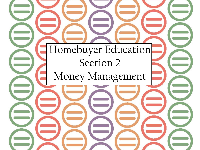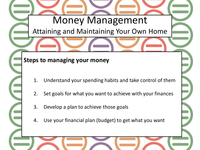Attaining and Maintaining Your Own Home

#### **Steps to managing your money**

- 1. Understand your spending habits and take control of them
- 2. Set goals for what you want to achieve with your finances
- 3. Develop a plan to achieve those goals
- 4. Use your financial plan (budget) to get what you want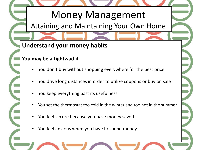Attaining and Maintaining Your Own Home

## **Understand your money habits**

#### **You may be a tightwad if**

- You don't buy without shopping everywhere for the best price
- You drive long distances in order to utilize coupons or buy on sale
- You keep everything past its usefulness
- You set the thermostat too cold in the winter and too hot in the summer
- You feel secure because you have money saved
- You feel anxious when you have to spend money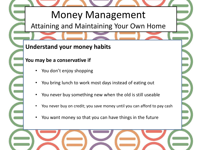Attaining and Maintaining Your Own Home

## **Understand your money habits**

#### **You may be a conservative if**

- You don't enjoy shopping
- You bring lunch to work most days instead of eating out
- You never buy something new when the old is still useable
- You never buy on credit; you save money until you can afford to pay cash
- You want money so that you can have things in the future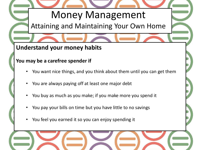Attaining and Maintaining Your Own Home

## **Understand your money habits**

#### **You may be a carefree spender if**

- You want nice things, and you think about them until you can get them
- You are always paying off at least one major debt
- You buy as much as you make; if you make more you spend it
- You pay your bills on time but you have little to no savings
- You feel you earned it so you can enjoy spending it

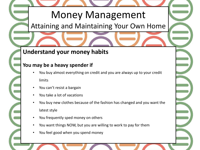## Attaining and Maintaining Your Own Home

#### **Understand your money habits**

#### **You may be a heavy spender if**

- You buy almost everything on credit and you are always up to your credit limits
- You can't resist a bargain
- You take a lot of vacations
- You buy new clothes because of the fashion has changed and you want the latest style
- You frequently sped money on others
- You want things NOW, but you are willing to work to pay for them
- You feel good when you spend money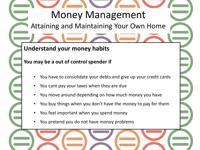Attaining and Maintaining Your Own Home

## **Understand your money habits**

#### **You may be a out of control spender if**

- You have to consolidate your debts and give up your credit cards
- You cant pay your taxes when they are due
- You move around depending on how much money you have
- You buy things when you don't have the money to pay for them
- You feel important when you spend money
- You pretend you do not have money problems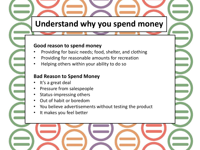# **Understand why you spend money**

#### **Good reason to spend money**

- Providing for basic needs; food, shelter, and clothing
- Providing for reasonable amounts for recreation
- Helping others within your ability to do so

#### **Bad Reason to Spend Money**

- It's a great deal
- Pressure from salespeople
- Status-impressing others
- Out of habit or boredom
- You believe advertisements without testing the product
- It makes you feel better

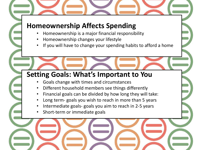## **Homeownership Affects Spending**

- Homeownership is a major financial responsibility
- Homeownership changes your lifestyle
- If you will have to change your spending habits to afford a home

## **Setting Goals: What's Important to You**

- Goals change with times and circumstances
- Different household members see things differently
- Financial goals can be divided by how long they will take:
- Long term- goals you wish to reach in more than 5 years
- Intermediate goals- goals you aim to reach in 2-5 years
- Short-term or immediate goals

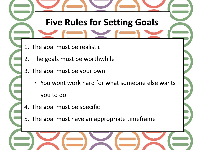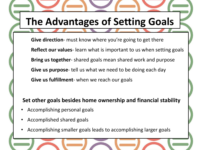# **The Advantages of Setting Goals**

**Give direction**- must know where you're going to get there **Reflect our values**- learn what is important to us when setting goals **Bring us together**- shared goals mean shared work and purpose **Give us purpose**- tell us what we need to be doing each day **Give us fulfillment**- when we reach our goals

#### **Set other goals besides home ownership and financial stability**

- Accomplishing personal goals
- Accomplished shared goals
- Accomplishing smaller goals leads to accomplishing larger goals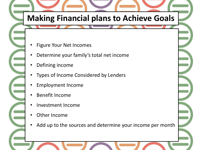# **Making Financial plans to Achieve Goals**

- Figure Your Net Incomes
- Determine your family's total net income
- Defining income
- Types of Income Considered by Lenders
- Employment Income
- Benefit Income
- Investment Income
- **Other Income**
- Add up to the sources and determine your income per month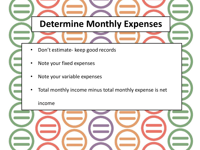# **Determine Monthly Expenses** • Don't estimate- keep good records Note your fixed expenses Note your variable expenses Total monthly income minus total monthly expense is net income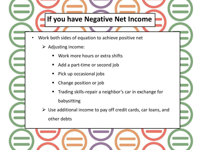

- Work both sides of equation to achieve positive net
	- $\triangleright$  Adjusting income:
		- Work more hours or extra shifts
		- Add a part-time or second job
		- Pick up occasional jobs
		- Change position or job
		- Trading skills-repair a neighbor's car in exchange for babysitting
	- $\triangleright$  Use additional income to pay off credit cards, car loans, and other debts

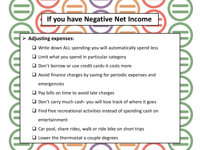## **If you have Negative Net Income**

#### **Adjusting expenses:**

- $\Box$  Write down ALL spending-you will automatically spend less
- $\Box$  Limit what you spend in particular category
- $\Box$  Don't borrow or use credit cards-it costs more
- $\Box$  Avoid finance charges by saving for periodic expenses and emergencies
- $\Box$  Pay bills on time to avoid late charges
- $\Box$  Don't carry much cash- you will lose track of where it goes
- $\Box$  Find free recreational activities instead of spending cash on entertainment
- Car pool, share rides, walk or ride bike on short trips
- $\Box$  Lower the thermostat a couple degrees